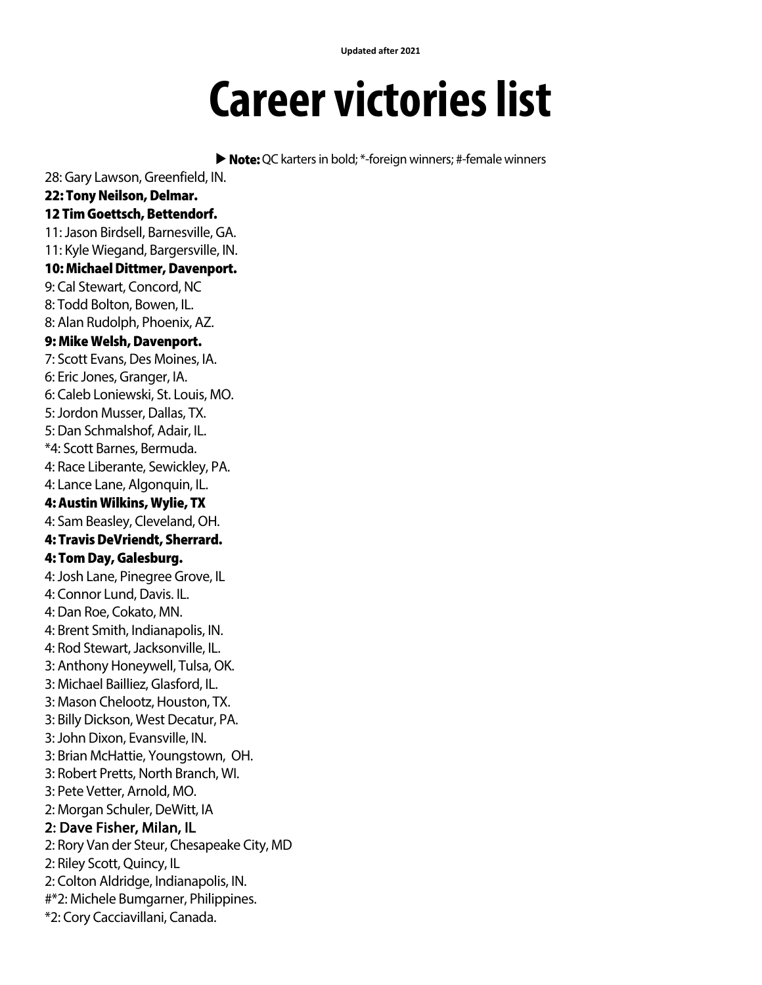**Updated after 2021**

## **Career victories list**

▶ Note: QC karters in bold; \*-foreign winners; #-female winners

28: Gary Lawson, Greenfield, IN. 22: Tony Neilson, Delmar. 12 Tim Goettsch, Bettendorf. 11: Jason Birdsell, Barnesville, GA. 11: Kyle Wiegand, Bargersville, IN. 10: Michael Dittmer, Davenport. 9: Cal Stewart, Concord, NC 8: Todd Bolton, Bowen, IL. 8: Alan Rudolph, Phoenix, AZ. 9: Mike Welsh, Davenport. 7: Scott Evans, Des Moines, IA. 6: Eric Jones, Granger, IA. 6: Caleb Loniewski, St. Louis, MO. 5: Jordon Musser, Dallas, TX. 5: Dan Schmalshof, Adair, IL. \*4: Scott Barnes, Bermuda. 4: Race Liberante, Sewickley, PA. 4: Lance Lane, Algonquin, IL. 4: Austin Wilkins, Wylie, TX 4: Sam Beasley, Cleveland, OH. 4: Travis DeVriendt, Sherrard. 4: Tom Day, Galesburg. 4: Josh Lane, Pinegree Grove, IL 4: Connor Lund, Davis. IL. 4: Dan Roe, Cokato, MN. 4: Brent Smith, Indianapolis, IN. 4: Rod Stewart, Jacksonville, IL. 3: Anthony Honeywell, Tulsa, OK. 3: Michael Bailliez, Glasford, IL. 3: Mason Chelootz, Houston, TX. 3: Billy Dickson, West Decatur, PA. 3: John Dixon, Evansville, IN. 3: Brian McHattie, Youngstown, OH. 3: Robert Pretts, North Branch, WI. 3: Pete Vetter, Arnold, MO. 2: Morgan Schuler, DeWitt, IA 2: Dave Fisher, Milan, IL 2: Rory Van der Steur, Chesapeake City, MD 2: Riley Scott, Quincy, IL 2: Colton Aldridge, Indianapolis, IN. #\*2: Michele Bumgarner, Philippines. \*2: Cory Cacciavillani, Canada.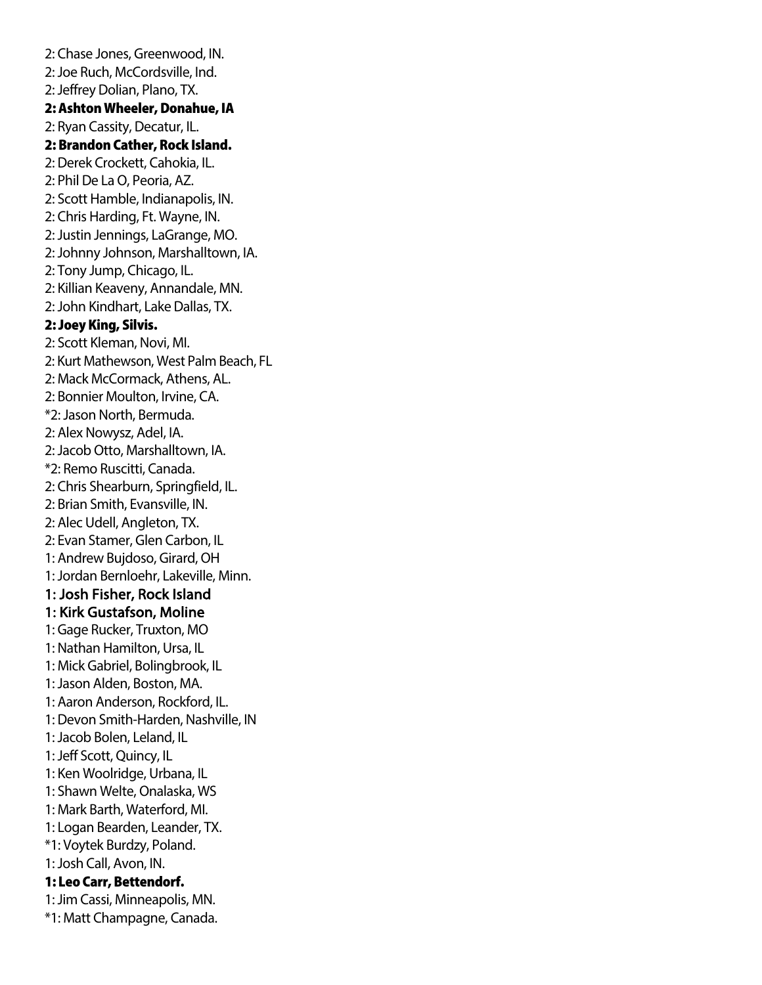2: Chase Jones, Greenwood, IN. 2: Joe Ruch, McCordsville, Ind. 2: Jeffrey Dolian, Plano, TX. 2: Ashton Wheeler, Donahue, IA 2: Ryan Cassity, Decatur, IL. 2: Brandon Cather, Rock Island. 2: Derek Crockett, Cahokia, IL. 2: Phil De La O, Peoria, AZ. 2: Scott Hamble, Indianapolis, IN. 2: Chris Harding, Ft. Wayne, IN. 2: Justin Jennings, LaGrange, MO. 2:Johnny Johnson, Marshalltown, IA. 2: Tony Jump, Chicago, IL. 2: Killian Keaveny, Annandale, MN. 2: John Kindhart, Lake Dallas, TX. 2: Joey King, Silvis. 2: Scott Kleman, Novi, MI. 2: Kurt Mathewson, West Palm Beach, FL 2: Mack McCormack, Athens, AL. 2: Bonnier Moulton, Irvine, CA. \*2: Jason North, Bermuda. 2: Alex Nowysz, Adel, IA. 2: Jacob Otto, Marshalltown, IA. \*2: Remo Ruscitti, Canada. 2: Chris Shearburn, Springfield, IL. 2: Brian Smith, Evansville, IN. 2: Alec Udell, Angleton, TX. 2: Evan Stamer, Glen Carbon, IL 1: Andrew Bujdoso, Girard, OH 1: Jordan Bernloehr, Lakeville, Minn. 1: Josh Fisher, Rock Island 1: Kirk Gustafson, Moline 1: Gage Rucker, Truxton, MO 1: Nathan Hamilton, Ursa, IL 1: Mick Gabriel, Bolingbrook, IL 1: Jason Alden, Boston, MA. 1: Aaron Anderson, Rockford, IL. 1: Devon Smith-Harden, Nashville, IN 1: Jacob Bolen, Leland, IL 1: Jeff Scott, Quincy, IL 1: Ken Woolridge, Urbana, IL 1: Shawn Welte, Onalaska, WS 1: Mark Barth, Waterford, MI. 1: Logan Bearden, Leander, TX. \*1: Voytek Burdzy, Poland. 1: Josh Call, Avon, IN. 1: Leo Carr, Bettendorf. 1: Jim Cassi, Minneapolis, MN. \*1: Matt Champagne, Canada.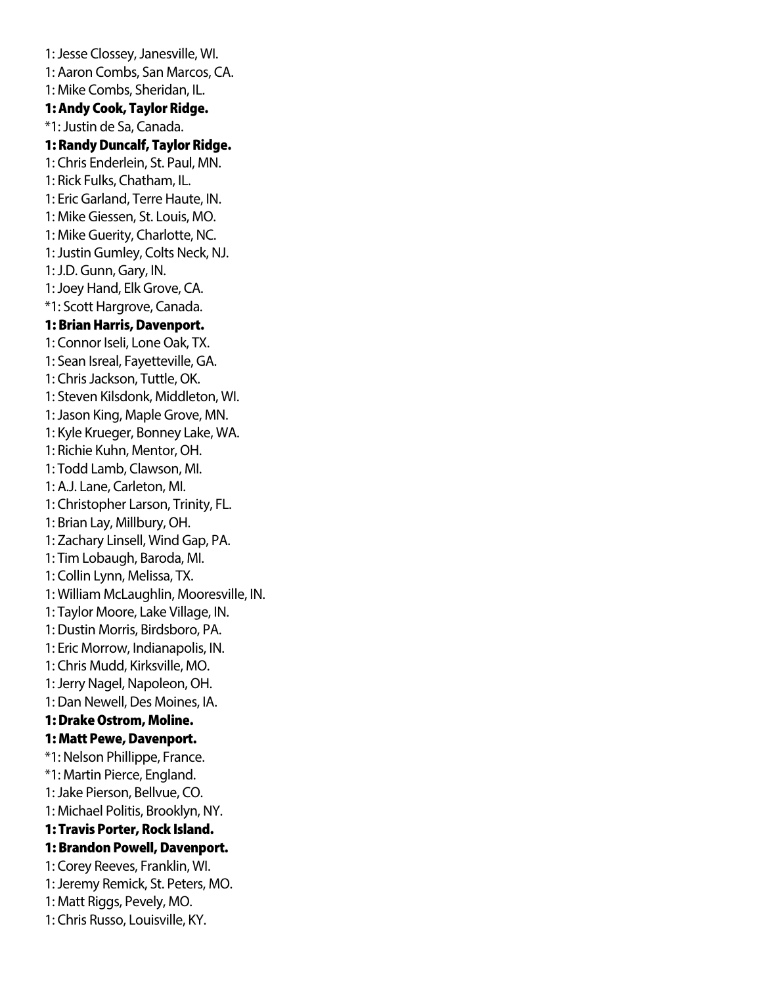1: Jesse Clossey, Janesville, WI. 1: Aaron Combs, San Marcos, CA. 1: Mike Combs, Sheridan, IL. 1: Andy Cook, Taylor Ridge. \*1: Justin de Sa, Canada. 1: Randy Duncalf, Taylor Ridge. 1: Chris Enderlein, St. Paul, MN. 1: Rick Fulks, Chatham, IL. 1: Eric Garland, Terre Haute, IN. 1: Mike Giessen, St. Louis, MO. 1: Mike Guerity, Charlotte, NC. 1: Justin Gumley, Colts Neck, NJ. 1: J.D. Gunn, Gary, IN. 1: Joey Hand, Elk Grove, CA. \*1: Scott Hargrove, Canada. 1: Brian Harris, Davenport. 1: Connor Iseli, Lone Oak, TX. 1: Sean Isreal, Fayetteville, GA. 1: Chris Jackson, Tuttle, OK. 1: Steven Kilsdonk, Middleton, WI. 1: Jason King, Maple Grove, MN. 1: Kyle Krueger, Bonney Lake, WA. 1: Richie Kuhn, Mentor, OH. 1: Todd Lamb, Clawson, MI. 1: A.J. Lane, Carleton, MI. 1: Christopher Larson, Trinity, FL. 1: Brian Lay, Millbury, OH. 1: Zachary Linsell, Wind Gap, PA. 1: Tim Lobaugh, Baroda, MI. 1: Collin Lynn, Melissa, TX. 1: William McLaughlin, Mooresville, IN. 1: Taylor Moore, Lake Village, IN. 1: Dustin Morris, Birdsboro, PA. 1: Eric Morrow, Indianapolis, IN. 1: Chris Mudd, Kirksville, MO. 1: Jerry Nagel, Napoleon, OH. 1: Dan Newell, Des Moines, IA. 1: Drake Ostrom, Moline. 1: Matt Pewe, Davenport. \*1: Nelson Phillippe, France. \*1: Martin Pierce, England. 1: Jake Pierson, Bellvue, CO. 1: Michael Politis, Brooklyn, NY. 1: Travis Porter, Rock Island. 1: Brandon Powell, Davenport. 1: Corey Reeves, Franklin, WI. 1: Jeremy Remick, St. Peters, MO. 1: Matt Riggs, Pevely, MO. 1: Chris Russo, Louisville, KY.